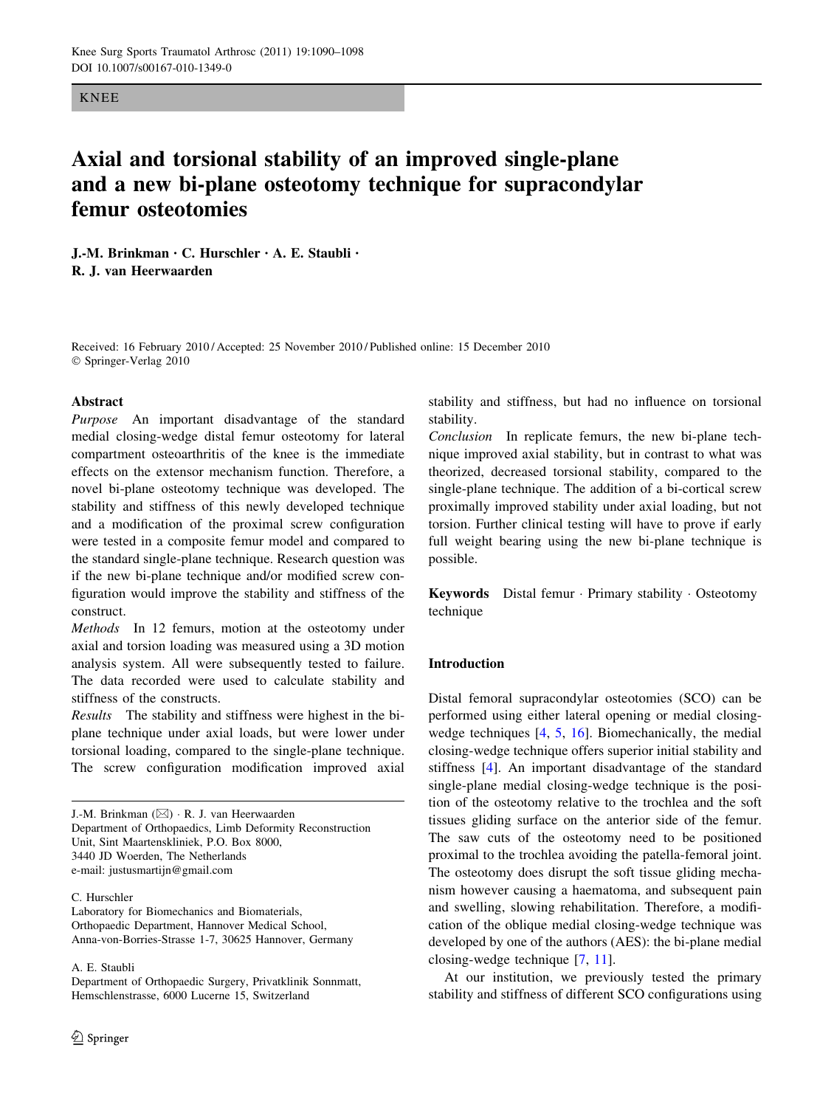## **KNEE**

# Axial and torsional stability of an improved single-plane and a new bi-plane osteotomy technique for supracondylar femur osteotomies

J.-M. Brinkman · C. Hurschler · A. E. Staubli · R. J. van Heerwaarden

Received: 16 February 2010/Accepted: 25 November 2010/Published online: 15 December 2010 © Springer-Verlag 2010

## **Abstract**

Purpose An important disadvantage of the standard medial closing-wedge distal femur osteotomy for lateral compartment osteoarthritis of the knee is the immediate effects on the extensor mechanism function. Therefore, a novel bi-plane osteotomy technique was developed. The stability and stiffness of this newly developed technique and a modification of the proximal screw configuration were tested in a composite femur model and compared to the standard single-plane technique. Research question was if the new bi-plane technique and/or modified screw configuration would improve the stability and stiffness of the construct.

Methods In 12 femurs, motion at the osteotomy under axial and torsion loading was measured using a 3D motion analysis system. All were subsequently tested to failure. The data recorded were used to calculate stability and stiffness of the constructs.

Results The stability and stiffness were highest in the biplane technique under axial loads, but were lower under torsional loading, compared to the single-plane technique. The screw configuration modification improved axial

J.-M. Brinkman ( $\boxtimes$ ) · R. J. van Heerwaarden Department of Orthopaedics, Limb Deformity Reconstruction Unit, Sint Maartenskliniek, P.O. Box 8000, 3440 JD Woerden, The Netherlands e-mail: justusmartijn@gmail.com

C. Hurschler

Laboratory for Biomechanics and Biomaterials, Orthopaedic Department, Hannover Medical School, Anna-von-Borries-Strasse 1-7, 30625 Hannover, Germany

A. E. Staubli

Department of Orthopaedic Surgery, Privatklinik Sonnmatt, Hemschlenstrasse, 6000 Lucerne 15, Switzerland

stability and stiffness, but had no influence on torsional stability.

*Conclusion* In replicate femurs, the new bi-plane technique improved axial stability, but in contrast to what was theorized, decreased torsional stability, compared to the single-plane technique. The addition of a bi-cortical screw proximally improved stability under axial loading, but not torsion. Further clinical testing will have to prove if early full weight bearing using the new bi-plane technique is possible.

Keywords Distal femur · Primary stability · Osteotomy technique

## **Introduction**

Distal femoral supracondylar osteotomies (SCO) can be performed using either lateral opening or medial closingwedge techniques  $[4, 5, 16]$ . Biomechanically, the medial closing-wedge technique offers superior initial stability and stiffness [4]. An important disadvantage of the standard single-plane medial closing-wedge technique is the position of the osteotomy relative to the trochlea and the soft tissues gliding surface on the anterior side of the femur. The saw cuts of the osteotomy need to be positioned proximal to the trochlea avoiding the patella-femoral joint. The osteotomy does disrupt the soft tissue gliding mechanism however causing a haematoma, and subsequent pain and swelling, slowing rehabilitation. Therefore, a modification of the oblique medial closing-wedge technique was developed by one of the authors (AES): the bi-plane medial closing-wedge technique  $[7, 11]$ .

At our institution, we previously tested the primary stability and stiffness of different SCO configurations using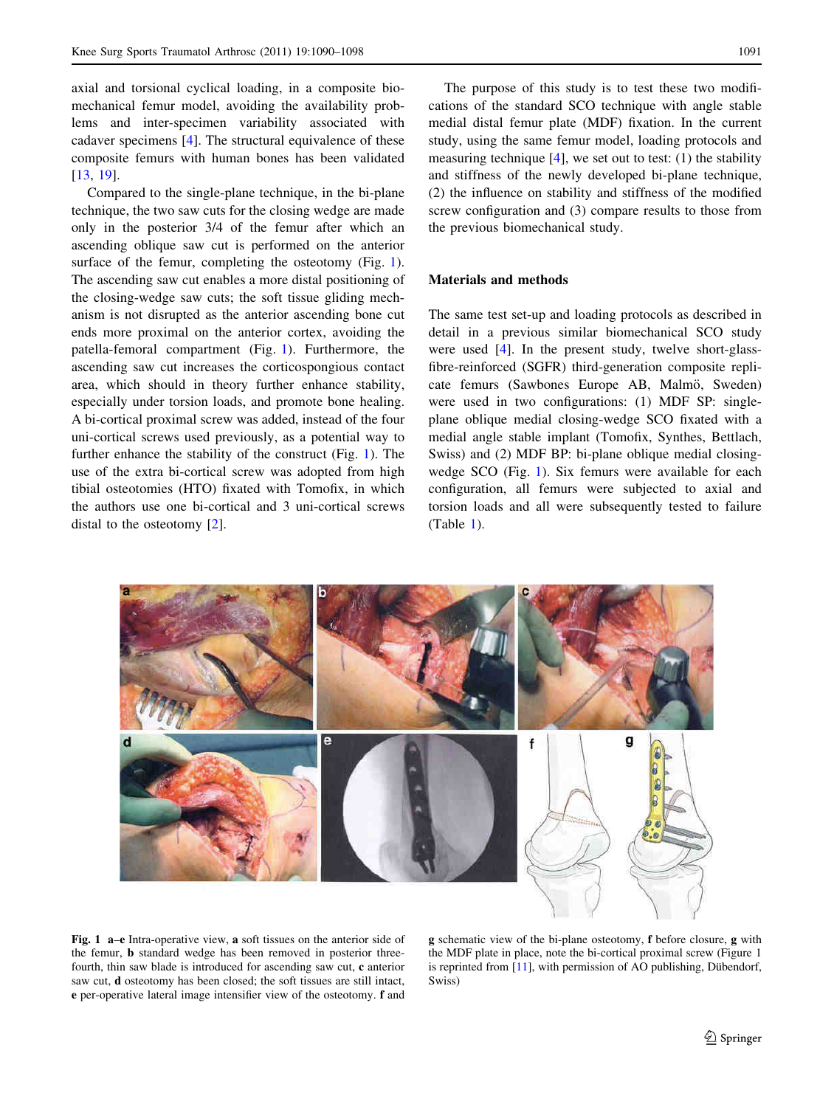axial and torsional cyclical loading, in a composite biomechanical femur model, avoiding the availability problems and inter-specimen variability associated with cadaver specimens  $[4]$ . The structural equivalence of these composite femurs with human bones has been validated  $[13, 19]$ .

Compared to the single-plane technique, in the bi-plane technique, the two saw cuts for the closing wedge are made only in the posterior 3/4 of the femur after which an ascending oblique saw cut is performed on the anterior surface of the femur, completing the osteotomy (Fig. 1). The ascending saw cut enables a more distal positioning of the closing-wedge saw cuts; the soft tissue gliding mechanism is not disrupted as the anterior ascending bone cut ends more proximal on the anterior cortex, avoiding the patella-femoral compartment (Fig. 1). Furthermore, the ascending saw cut increases the corticospongious contact area, which should in theory further enhance stability, especially under torsion loads, and promote bone healing. A bi-cortical proximal screw was added, instead of the four uni-cortical screws used previously, as a potential way to further enhance the stability of the construct (Fig. 1). The use of the extra bi-cortical screw was adopted from high tibial osteotomies (HTO) fixated with Tomofix, in which the authors use one bi-cortical and 3 uni-cortical screws distal to the osteotomy  $[2]$ .

The purpose of this study is to test these two modifications of the standard SCO technique with angle stable medial distal femur plate (MDF) fixation. In the current study, using the same femur model, loading protocols and measuring technique [4], we set out to test: (1) the stability and stiffness of the newly developed bi-plane technique, (2) the influence on stability and stiffness of the modified screw configuration and (3) compare results to those from the previous biomechanical study.

## **Materials and methods**

The same test set-up and loading protocols as described in detail in a previous similar biomechanical SCO study were used  $[4]$ . In the present study, twelve short-glassfibre-reinforced (SGFR) third-generation composite replicate femurs (Sawbones Europe AB, Malmö, Sweden) were used in two configurations: (1) MDF SP: singleplane oblique medial closing-wedge SCO fixated with a medial angle stable implant (Tomofix, Synthes, Bettlach, Swiss) and (2) MDF BP: bi-plane oblique medial closingwedge SCO (Fig. 1). Six femurs were available for each configuration, all femurs were subjected to axial and torsion loads and all were subsequently tested to failure  $(Table 1).$ 



Fig. 1 a-e Intra-operative view, a soft tissues on the anterior side of the femur, **b** standard wedge has been removed in posterior threefourth, thin saw blade is introduced for ascending saw cut, c anterior saw cut, **d** osteotomy has been closed; the soft tissues are still intact, e per-operative lateral image intensifier view of the osteotomy. f and g schematic view of the bi-plane osteotomy, f before closure, g with the MDF plate in place, note the bi-cortical proximal screw (Figure 1 is reprinted from [11], with permission of AO publishing, Dübendorf, Swiss)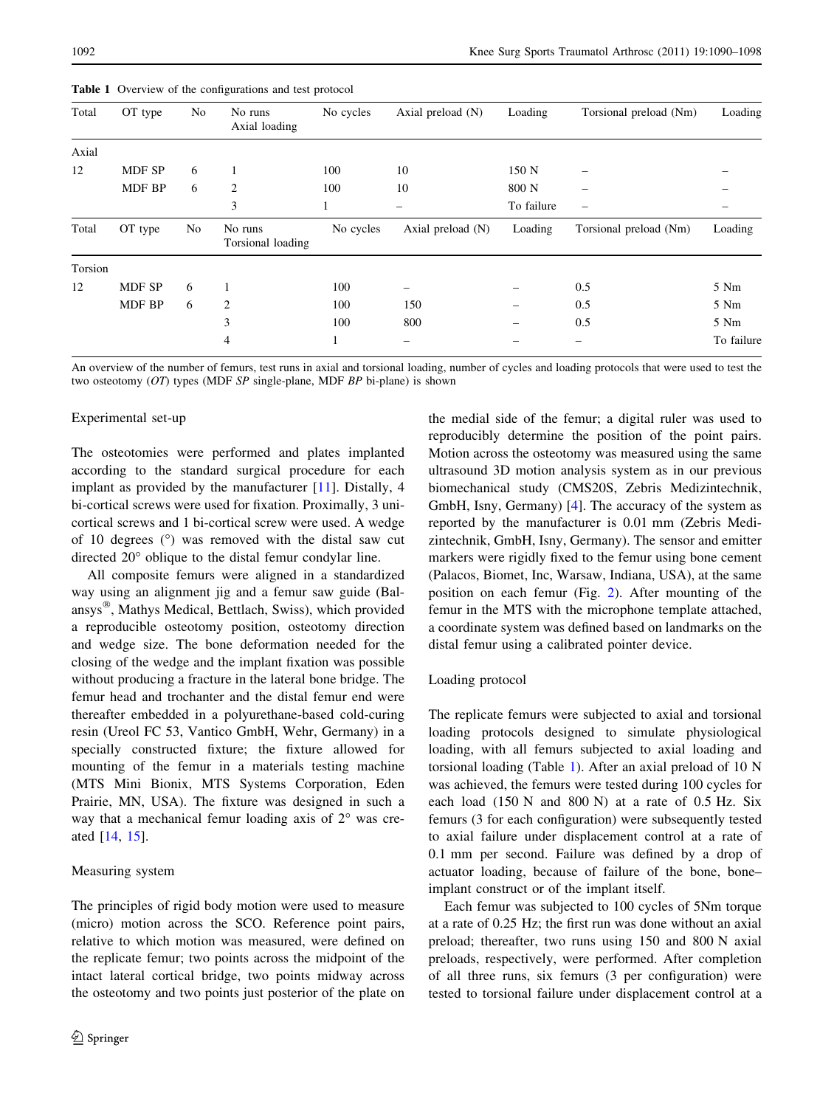| Total   | OT type | No | No runs<br>Axial loading     | No cycles | Axial preload (N)   | Loading    | Torsional preload (Nm) | Loading    |
|---------|---------|----|------------------------------|-----------|---------------------|------------|------------------------|------------|
| Axial   |         |    |                              |           |                     |            |                        |            |
| 12      | MDF SP  | 6  |                              | 100       | 10                  | 150 N      |                        |            |
|         | MDF BP  | 6  | 2                            | 100       | 10                  | 800 N      | -                      |            |
|         |         |    | 3                            | 1         | -                   | To failure |                        |            |
| Total   | OT type | No | No runs<br>Torsional loading | No cycles | Axial preload $(N)$ | Loading    | Torsional preload (Nm) | Loading    |
| Torsion |         |    |                              |           |                     |            |                        |            |
| 12      | MDF SP  | 6  |                              | 100       | -                   | -          | 0.5                    | 5 Nm       |
|         | MDF BP  | 6  | 2                            | 100       | 150                 |            | 0.5                    | 5 Nm       |
|         |         |    | 3                            | 100       | 800                 | -          | 0.5                    | 5 Nm       |
|         |         |    | 4                            | 1         | -                   |            |                        | To failure |

Table 1 Overview of the configurations and test protocol

An overview of the number of femurs, test runs in axial and torsional loading, number of cycles and loading protocols that were used to test the two osteotomy (OT) types (MDF SP single-plane, MDF BP bi-plane) is shown

#### Experimental set-up

The osteotomies were performed and plates implanted according to the standard surgical procedure for each implant as provided by the manufacturer  $[11]$ . Distally, 4 bi-cortical screws were used for fixation. Proximally, 3 unicortical screws and 1 bi-cortical screw were used. A wedge of 10 degrees (°) was removed with the distal saw cut directed 20° oblique to the distal femur condylar line.

All composite femurs were aligned in a standardized way using an alignment jig and a femur saw guide (Balansys®, Mathys Medical, Bettlach, Swiss), which provided a reproducible osteotomy position, osteotomy direction and wedge size. The bone deformation needed for the closing of the wedge and the implant fixation was possible without producing a fracture in the lateral bone bridge. The femur head and trochanter and the distal femur end were thereafter embedded in a polyurethane-based cold-curing resin (Ureol FC 53, Vantico GmbH, Wehr, Germany) in a specially constructed fixture; the fixture allowed for mounting of the femur in a materials testing machine (MTS Mini Bionix, MTS Systems Corporation, Eden Prairie, MN, USA). The fixture was designed in such a way that a mechanical femur loading axis of  $2^{\circ}$  was created [14, 15].

#### Measuring system

The principles of rigid body motion were used to measure (micro) motion across the SCO. Reference point pairs, relative to which motion was measured, were defined on the replicate femur; two points across the midpoint of the intact lateral cortical bridge, two points midway across the osteotomy and two points just posterior of the plate on the medial side of the femur; a digital ruler was used to reproducibly determine the position of the point pairs. Motion across the osteotomy was measured using the same ultrasound 3D motion analysis system as in our previous biomechanical study (CMS20S, Zebris Medizintechnik, GmbH, Isny, Germany) [4]. The accuracy of the system as reported by the manufacturer is 0.01 mm (Zebris Medizintechnik, GmbH, Isny, Germany). The sensor and emitter markers were rigidly fixed to the femur using bone cement (Palacos, Biomet, Inc, Warsaw, Indiana, USA), at the same position on each femur (Fig. 2). After mounting of the femur in the MTS with the microphone template attached, a coordinate system was defined based on landmarks on the distal femur using a calibrated pointer device.

# Loading protocol

The replicate femurs were subjected to axial and torsional loading protocols designed to simulate physiological loading, with all femurs subjected to axial loading and torsional loading (Table 1). After an axial preload of 10 N was achieved, the femurs were tested during 100 cycles for each load (150 N and 800 N) at a rate of 0.5 Hz. Six femurs (3 for each configuration) were subsequently tested to axial failure under displacement control at a rate of 0.1 mm per second. Failure was defined by a drop of actuator loading, because of failure of the bone, boneimplant construct or of the implant itself.

Each femur was subjected to 100 cycles of 5Nm torque at a rate of 0.25 Hz; the first run was done without an axial preload; thereafter, two runs using 150 and 800 N axial preloads, respectively, were performed. After completion of all three runs, six femurs (3 per configuration) were tested to torsional failure under displacement control at a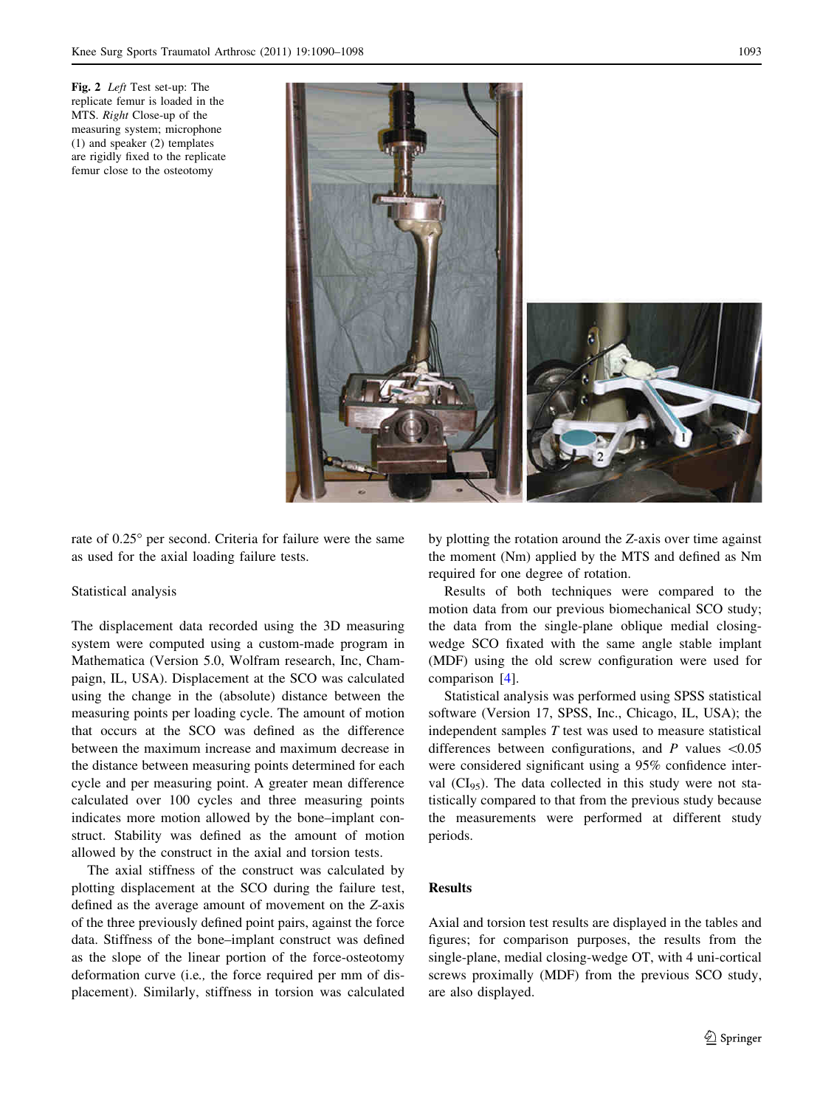Fig. 2 Left Test set-up: The replicate femur is loaded in the MTS. Right Close-up of the measuring system; microphone  $(1)$  and speaker  $(2)$  templates are rigidly fixed to the replicate femur close to the osteotomy



rate of 0.25° per second. Criteria for failure were the same as used for the axial loading failure tests.

#### Statistical analysis

The displacement data recorded using the 3D measuring system were computed using a custom-made program in Mathematica (Version 5.0, Wolfram research, Inc, Champaign, IL, USA). Displacement at the SCO was calculated using the change in the (absolute) distance between the measuring points per loading cycle. The amount of motion that occurs at the SCO was defined as the difference between the maximum increase and maximum decrease in the distance between measuring points determined for each cycle and per measuring point. A greater mean difference calculated over 100 cycles and three measuring points indicates more motion allowed by the bone-implant construct. Stability was defined as the amount of motion allowed by the construct in the axial and torsion tests.

The axial stiffness of the construct was calculated by plotting displacement at the SCO during the failure test, defined as the average amount of movement on the Z-axis of the three previously defined point pairs, against the force data. Stiffness of the bone-implant construct was defined as the slope of the linear portion of the force-osteotomy deformation curve (i.e., the force required per mm of displacement). Similarly, stiffness in torsion was calculated by plotting the rotation around the Z-axis over time against the moment (Nm) applied by the MTS and defined as Nm required for one degree of rotation.

Results of both techniques were compared to the motion data from our previous biomechanical SCO study; the data from the single-plane oblique medial closingwedge SCO fixated with the same angle stable implant (MDF) using the old screw configuration were used for comparison [4].

Statistical analysis was performed using SPSS statistical software (Version 17, SPSS, Inc., Chicago, IL, USA); the independent samples  $T$  test was used to measure statistical differences between configurations, and P values  $\langle 0.05$ were considered significant using a 95% confidence interval  $(Cl_{95})$ . The data collected in this study were not statistically compared to that from the previous study because the measurements were performed at different study periods.

# **Results**

Axial and torsion test results are displayed in the tables and figures; for comparison purposes, the results from the single-plane, medial closing-wedge OT, with 4 uni-cortical screws proximally (MDF) from the previous SCO study, are also displayed.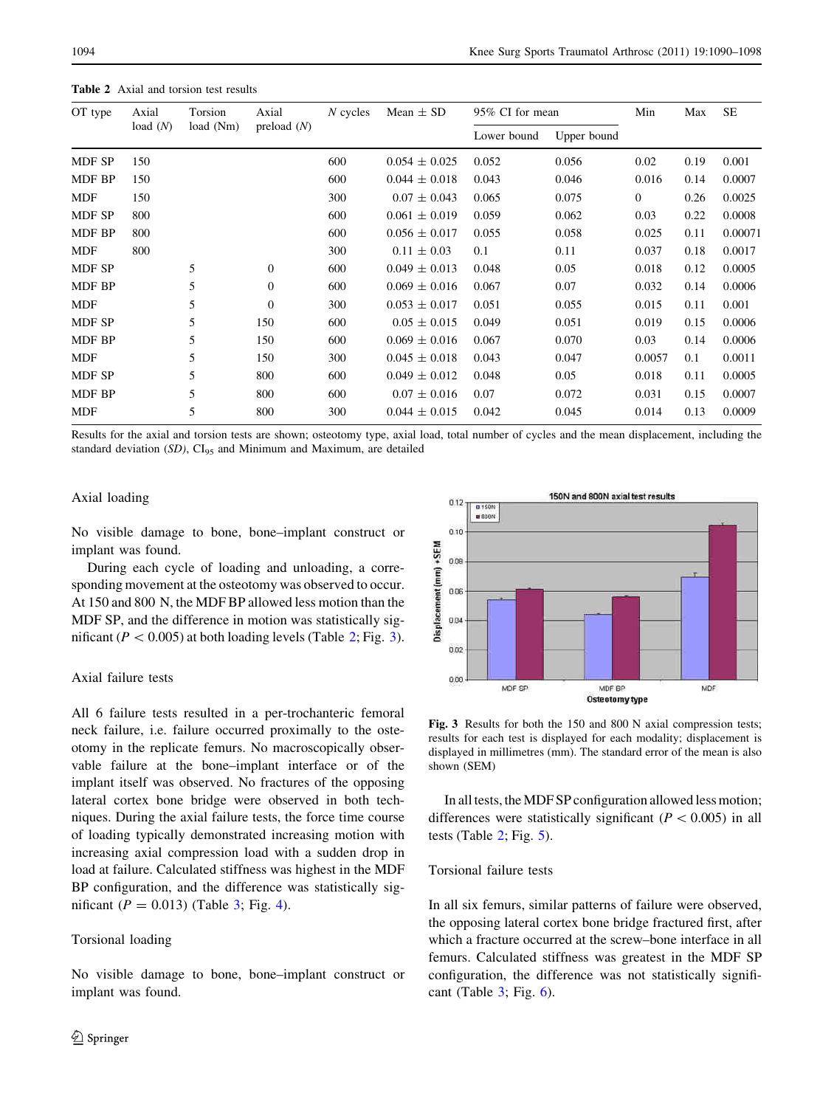| <b>Table 2</b> Axial and torsion test results |  |  |  |
|-----------------------------------------------|--|--|--|
|                                               |  |  |  |

| OT type       | Axial<br>load $(N)$ | Torsion<br>load (Nm) | Axial<br>preload $(N)$ | $N$ cycles<br>Mean $\pm$ SD |                   | 95% CI for mean |             | Min          | Max  | SE      |
|---------------|---------------------|----------------------|------------------------|-----------------------------|-------------------|-----------------|-------------|--------------|------|---------|
|               |                     |                      |                        |                             |                   | Lower bound     | Upper bound |              |      |         |
| MDF SP        | 150                 |                      |                        | 600                         | $0.054 \pm 0.025$ | 0.052           | 0.056       | 0.02         | 0.19 | 0.001   |
| <b>MDF BP</b> | 150                 |                      |                        | 600                         | $0.044 \pm 0.018$ | 0.043           | 0.046       | 0.016        | 0.14 | 0.0007  |
| <b>MDF</b>    | 150                 |                      |                        | 300                         | $0.07 \pm 0.043$  | 0.065           | 0.075       | $\mathbf{0}$ | 0.26 | 0.0025  |
| MDF SP        | 800                 |                      |                        | 600                         | $0.061 \pm 0.019$ | 0.059           | 0.062       | 0.03         | 0.22 | 0.0008  |
| MDF BP        | 800                 |                      |                        | 600                         | $0.056 \pm 0.017$ | 0.055           | 0.058       | 0.025        | 0.11 | 0.00071 |
| <b>MDF</b>    | 800                 |                      |                        | 300                         | $0.11 \pm 0.03$   | 0.1             | 0.11        | 0.037        | 0.18 | 0.0017  |
| MDF SP        |                     | 5                    | $\Omega$               | 600                         | $0.049 \pm 0.013$ | 0.048           | 0.05        | 0.018        | 0.12 | 0.0005  |
| <b>MDF BP</b> |                     | 5                    | $\Omega$               | 600                         | $0.069 \pm 0.016$ | 0.067           | 0.07        | 0.032        | 0.14 | 0.0006  |
| <b>MDF</b>    |                     | 5                    | $\Omega$               | 300                         | $0.053 \pm 0.017$ | 0.051           | 0.055       | 0.015        | 0.11 | 0.001   |
| MDF SP        |                     | 5                    | 150                    | 600                         | $0.05 \pm 0.015$  | 0.049           | 0.051       | 0.019        | 0.15 | 0.0006  |
| MDF BP        |                     | 5                    | 150                    | 600                         | $0.069 \pm 0.016$ | 0.067           | 0.070       | 0.03         | 0.14 | 0.0006  |
| <b>MDF</b>    |                     | 5                    | 150                    | 300                         | $0.045 \pm 0.018$ | 0.043           | 0.047       | 0.0057       | 0.1  | 0.0011  |
| MDF SP        |                     | 5                    | 800                    | 600                         | $0.049 \pm 0.012$ | 0.048           | 0.05        | 0.018        | 0.11 | 0.0005  |
| <b>MDF BP</b> |                     | 5                    | 800                    | 600                         | $0.07 \pm 0.016$  | 0.07            | 0.072       | 0.031        | 0.15 | 0.0007  |
| <b>MDF</b>    |                     | 5                    | 800                    | 300                         | $0.044 \pm 0.015$ | 0.042           | 0.045       | 0.014        | 0.13 | 0.0009  |

Results for the axial and torsion tests are shown; osteotomy type, axial load, total number of cycles and the mean displacement, including the standard deviation  $(SD)$ ,  $CI_{95}$  and Minimum and Maximum, are detailed

# Axial loading

No visible damage to bone, bone-implant construct or implant was found.

During each cycle of loading and unloading, a corresponding movement at the osteotomy was observed to occur. At 150 and 800 N, the MDF BP allowed less motion than the MDF SP, and the difference in motion was statistically significant ( $P < 0.005$ ) at both loading levels (Table 2; Fig. 3).

## Axial failure tests

All 6 failure tests resulted in a per-trochanteric femoral neck failure, i.e. failure occurred proximally to the osteotomy in the replicate femurs. No macroscopically observable failure at the bone-implant interface or of the implant itself was observed. No fractures of the opposing lateral cortex bone bridge were observed in both techniques. During the axial failure tests, the force time course of loading typically demonstrated increasing motion with increasing axial compression load with a sudden drop in load at failure. Calculated stiffness was highest in the MDF BP configuration, and the difference was statistically significant ( $P = 0.013$ ) (Table 3; Fig. 4).

#### Torsional loading

No visible damage to bone, bone–implant construct or implant was found.



Fig. 3 Results for both the 150 and 800 N axial compression tests; results for each test is displayed for each modality; displacement is displayed in millimetres (mm). The standard error of the mean is also shown (SEM)

In all tests, the MDF SP configuration allowed less motion; differences were statistically significant ( $P < 0.005$ ) in all tests (Table  $2$ ; Fig. 5).

## Torsional failure tests

In all six femurs, similar patterns of failure were observed, the opposing lateral cortex bone bridge fractured first, after which a fracture occurred at the screw-bone interface in all femurs. Calculated stiffness was greatest in the MDF SP configuration, the difference was not statistically significant (Table  $3$ ; Fig. 6).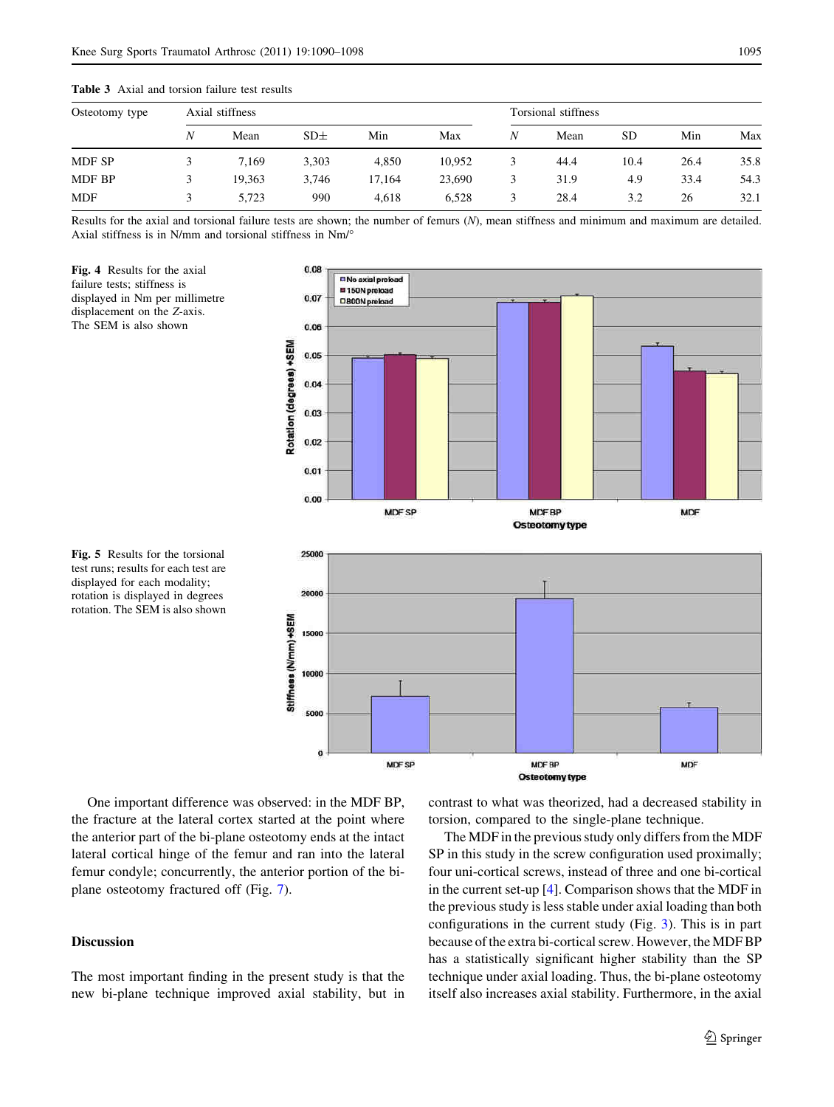| Osteotomy type | Axial stiffness |        |                 |        |        | Torsional stiffness |      |           |      |      |
|----------------|-----------------|--------|-----------------|--------|--------|---------------------|------|-----------|------|------|
|                | N               | Mean   | SD <sub>±</sub> | Min    | Max    | N                   | Mean | <b>SD</b> | Min  | Max  |
| MDF SP         |                 | 7.169  | 3,303           | 4.850  | 10.952 | 3                   | 44.4 | 10.4      | 26.4 | 35.8 |
| <b>MDF BP</b>  |                 | 19.363 | 3.746           | 17.164 | 23,690 | 3                   | 31.9 | 4.9       | 33.4 | 54.3 |
| <b>MDF</b>     |                 | 5.723  | 990             | 4.618  | 6.528  | 3                   | 28.4 | 3.2       | 26   | 32.1 |

**Table 3** Axial and torsion failure test results

Results for the axial and torsional failure tests are shown; the number of femurs (N), mean stiffness and minimum and maximum are detailed. Axial stiffness is in N/mm and torsional stiffness in Nm/°

MDF SP

Fig. 4 Results for the axial failure tests; stiffness is displayed in Nm per millimetre displacement on the Z-axis. The SEM is also shown



Fig. 5 Results for the torsional test runs; results for each test are displayed for each modality; rotation is displayed in degrees rotation. The SEM is also shown

One important difference was observed: in the MDF BP, the fracture at the lateral cortex started at the point where the anterior part of the bi-plane osteotomy ends at the intact lateral cortical hinge of the femur and ran into the lateral femur condyle; concurrently, the anterior portion of the biplane osteotomy fractured off (Fig. 7).

# **Discussion**

The most important finding in the present study is that the new bi-plane technique improved axial stability, but in contrast to what was theorized, had a decreased stability in torsion, compared to the single-plane technique.

MDF BP

**Osteotomy type** 

The MDF in the previous study only differs from the MDF SP in this study in the screw configuration used proximally; four uni-cortical screws, instead of three and one bi-cortical in the current set-up  $[4]$ . Comparison shows that the MDF in the previous study is less stable under axial loading than both configurations in the current study (Fig. 3). This is in part because of the extra bi-cortical screw. However, the MDF BP has a statistically significant higher stability than the SP technique under axial loading. Thus, the bi-plane osteotomy itself also increases axial stability. Furthermore, in the axial

**MDF**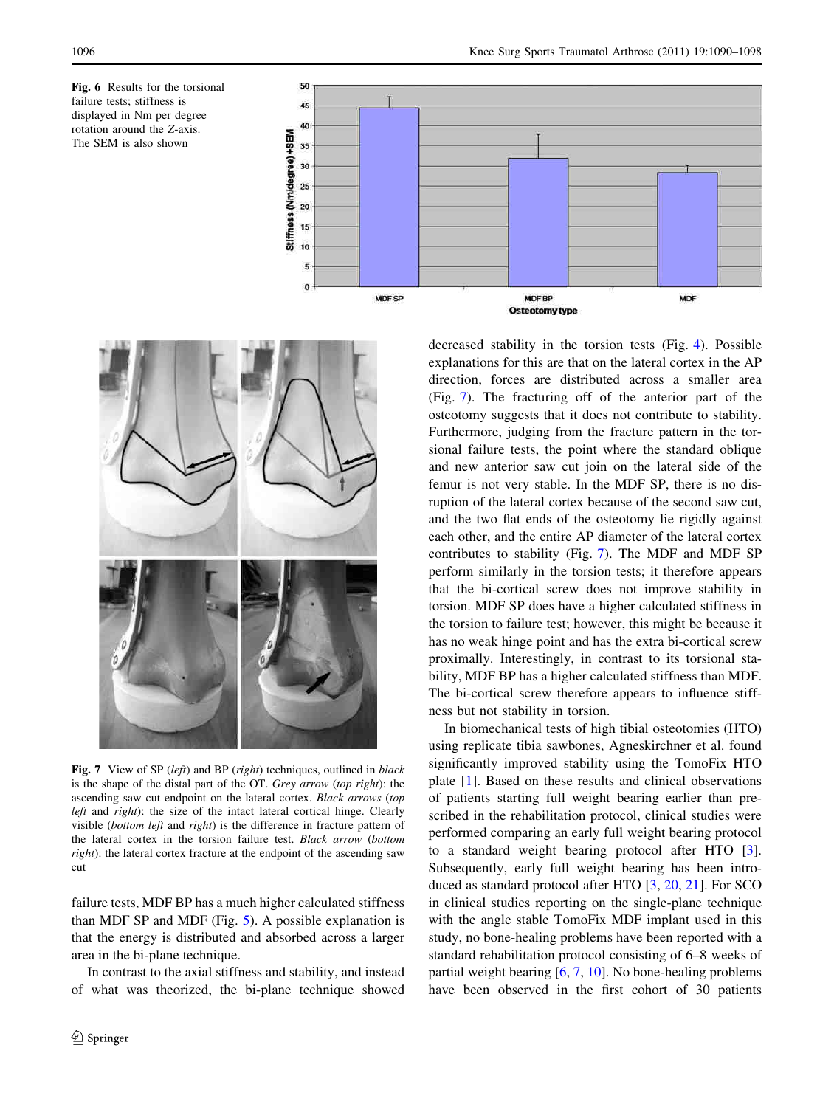





Fig. 7 View of SP  $(left)$  and BP  $(right)$  techniques, outlined in black is the shape of the distal part of the OT. Grey arrow (top right): the ascending saw cut endpoint on the lateral cortex. Black arrows (top left and right): the size of the intact lateral cortical hinge. Clearly visible (bottom left and right) is the difference in fracture pattern of the lateral cortex in the torsion failure test. Black arrow (bottom right): the lateral cortex fracture at the endpoint of the ascending saw cut

failure tests, MDF BP has a much higher calculated stiffness than MDF SP and MDF (Fig.  $5$ ). A possible explanation is that the energy is distributed and absorbed across a larger area in the bi-plane technique.

In contrast to the axial stiffness and stability, and instead of what was theorized, the bi-plane technique showed decreased stability in the torsion tests (Fig. 4). Possible explanations for this are that on the lateral cortex in the AP direction, forces are distributed across a smaller area (Fig. 7). The fracturing off of the anterior part of the osteotomy suggests that it does not contribute to stability. Furthermore, judging from the fracture pattern in the torsional failure tests, the point where the standard oblique and new anterior saw cut join on the lateral side of the femur is not very stable. In the MDF SP, there is no disruption of the lateral cortex because of the second saw cut, and the two flat ends of the osteotomy lie rigidly against each other, and the entire AP diameter of the lateral cortex contributes to stability (Fig. 7). The MDF and MDF SP perform similarly in the torsion tests; it therefore appears that the bi-cortical screw does not improve stability in torsion. MDF SP does have a higher calculated stiffness in the torsion to failure test; however, this might be because it has no weak hinge point and has the extra bi-cortical screw proximally. Interestingly, in contrast to its torsional stability, MDF BP has a higher calculated stiffness than MDF. The bi-cortical screw therefore appears to influence stiffness but not stability in torsion.

In biomechanical tests of high tibial osteotomies (HTO) using replicate tibia sawbones, Agneskirchner et al. found significantly improved stability using the TomoFix HTO plate  $[1]$ . Based on these results and clinical observations of patients starting full weight bearing earlier than prescribed in the rehabilitation protocol, clinical studies were performed comparing an early full weight bearing protocol to a standard weight bearing protocol after HTO [3]. Subsequently, early full weight bearing has been introduced as standard protocol after HTO [3, 20, 21]. For SCO in clinical studies reporting on the single-plane technique with the angle stable TomoFix MDF implant used in this study, no bone-healing problems have been reported with a standard rehabilitation protocol consisting of 6–8 weeks of partial weight bearing  $[6, 7, 10]$ . No bone-healing problems have been observed in the first cohort of 30 patients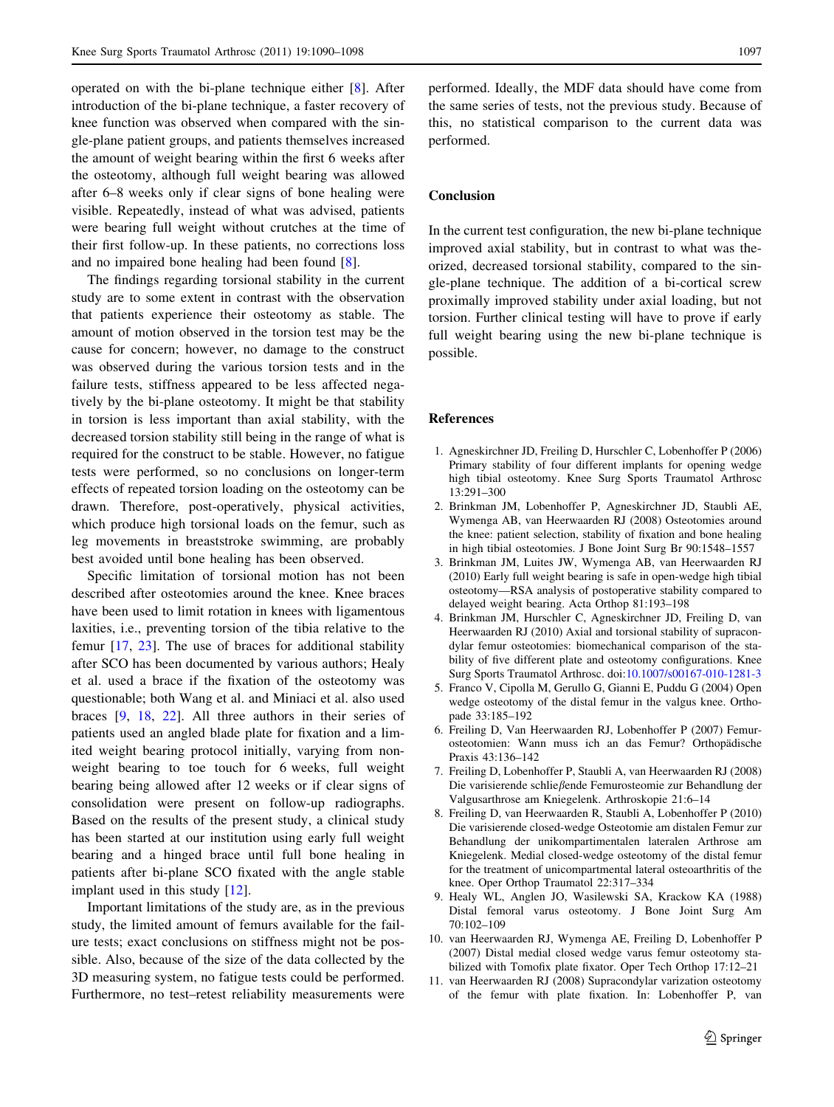operated on with the bi-plane technique either [8]. After introduction of the bi-plane technique, a faster recovery of knee function was observed when compared with the single-plane patient groups, and patients themselves increased the amount of weight bearing within the first 6 weeks after the osteotomy, although full weight bearing was allowed after 6–8 weeks only if clear signs of bone healing were visible. Repeatedly, instead of what was advised, patients were bearing full weight without crutches at the time of their first follow-up. In these patients, no corrections loss and no impaired bone healing had been found  $[8]$ .

The findings regarding torsional stability in the current study are to some extent in contrast with the observation that patients experience their osteotomy as stable. The amount of motion observed in the torsion test may be the cause for concern; however, no damage to the construct was observed during the various torsion tests and in the failure tests, stiffness appeared to be less affected negatively by the bi-plane osteotomy. It might be that stability in torsion is less important than axial stability, with the decreased torsion stability still being in the range of what is required for the construct to be stable. However, no fatigue tests were performed, so no conclusions on longer-term effects of repeated torsion loading on the osteotomy can be drawn. Therefore, post-operatively, physical activities, which produce high torsional loads on the femur, such as leg movements in breaststroke swimming, are probably best avoided until bone healing has been observed.

Specific limitation of torsional motion has not been described after osteotomies around the knee. Knee braces have been used to limit rotation in knees with ligamentous laxities, i.e., preventing torsion of the tibia relative to the femur  $[17, 23]$ . The use of braces for additional stability after SCO has been documented by various authors; Healy et al. used a brace if the fixation of the osteotomy was questionable; both Wang et al. and Miniaci et al. also used braces  $[9, 18, 22]$ . All three authors in their series of patients used an angled blade plate for fixation and a limited weight bearing protocol initially, varying from nonweight bearing to toe touch for 6 weeks, full weight bearing being allowed after 12 weeks or if clear signs of consolidation were present on follow-up radiographs. Based on the results of the present study, a clinical study has been started at our institution using early full weight bearing and a hinged brace until full bone healing in patients after bi-plane SCO fixated with the angle stable implant used in this study  $[12]$ .

Important limitations of the study are, as in the previous study, the limited amount of femurs available for the failure tests; exact conclusions on stiffness might not be possible. Also, because of the size of the data collected by the 3D measuring system, no fatigue tests could be performed. Furthermore, no test-retest reliability measurements were

performed. Ideally, the MDF data should have come from the same series of tests, not the previous study. Because of this, no statistical comparison to the current data was performed.

# Conclusion

In the current test configuration, the new bi-plane technique improved axial stability, but in contrast to what was theorized, decreased torsional stability, compared to the single-plane technique. The addition of a bi-cortical screw proximally improved stability under axial loading, but not torsion. Further clinical testing will have to prove if early full weight bearing using the new bi-plane technique is possible.

## **References**

- 1. Agneskirchner JD, Freiling D, Hurschler C, Lobenhoffer P (2006) Primary stability of four different implants for opening wedge high tibial osteotomy. Knee Surg Sports Traumatol Arthrosc 13:291-300
- 2. Brinkman JM, Lobenhoffer P, Agneskirchner JD, Staubli AE, Wymenga AB, van Heerwaarden RJ (2008) Osteotomies around the knee: patient selection, stability of fixation and bone healing in high tibial osteotomies. J Bone Joint Surg Br 90:1548-1557
- 3. Brinkman JM, Luites JW, Wymenga AB, van Heerwaarden RJ (2010) Early full weight bearing is safe in open-wedge high tibial osteotomy—RSA analysis of postoperative stability compared to delayed weight bearing. Acta Orthop 81:193-198
- 4. Brinkman JM, Hurschler C, Agneskirchner JD, Freiling D, van Heerwaarden RJ (2010) Axial and torsional stability of supracondylar femur osteotomies: biomechanical comparison of the stability of five different plate and osteotomy configurations. Knee Surg Sports Traumatol Arthrosc. doi:10.1007/s00167-010-1281-3
- 5. Franco V, Cipolla M, Gerullo G, Gianni E, Puddu G (2004) Open wedge osteotomy of the distal femur in the valgus knee. Orthopade 33:185-192
- 6. Freiling D, Van Heerwaarden RJ, Lobenhoffer P (2007) Femurosteotomien: Wann muss ich an das Femur? Orthopädische Praxis 43:136-142
- 7. Freiling D, Lobenhoffer P, Staubli A, van Heerwaarden RJ (2008) Die varisierende schließende Femurosteomie zur Behandlung der Valgusarthrose am Kniegelenk. Arthroskopie 21:6-14
- 8. Freiling D, van Heerwaarden R, Staubli A, Lobenhoffer P (2010) Die varisierende closed-wedge Osteotomie am distalen Femur zur Behandlung der unikompartimentalen lateralen Arthrose am Kniegelenk. Medial closed-wedge osteotomy of the distal femur for the treatment of unicompartmental lateral osteoarthritis of the knee. Oper Orthop Traumatol 22:317-334
- 9. Healy WL, Anglen JO, Wasilewski SA, Krackow KA (1988) Distal femoral varus osteotomy. J Bone Joint Surg Am 70:102-109
- 10. van Heerwaarden RJ, Wymenga AE, Freiling D, Lobenhoffer P (2007) Distal medial closed wedge varus femur osteotomy stabilized with Tomofix plate fixator. Oper Tech Orthop 17:12-21
- 11. van Heerwaarden RJ (2008) Supracondylar varization osteotomy of the femur with plate fixation. In: Lobenhoffer P, van